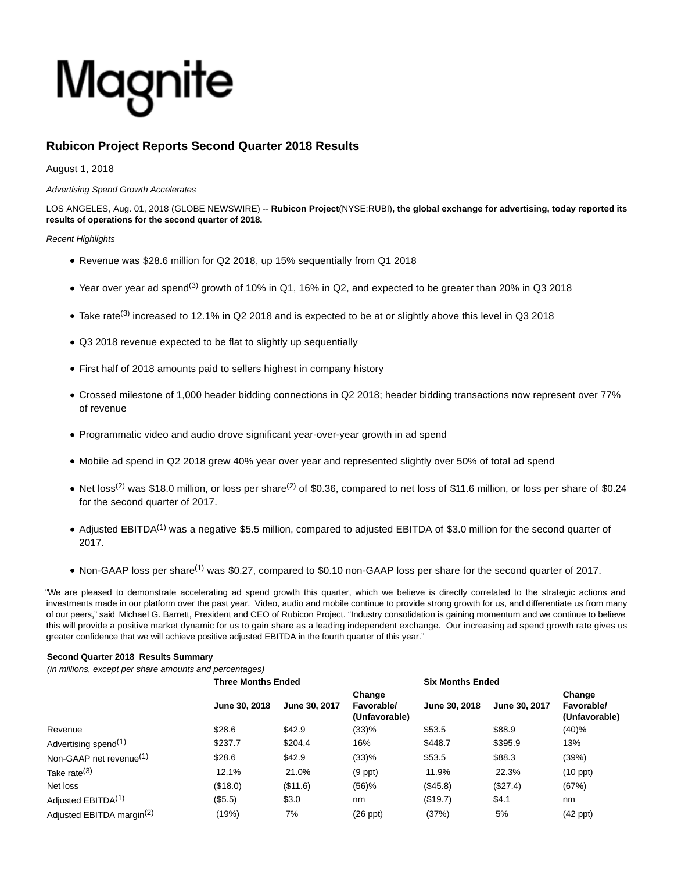# Magnite

# **Rubicon Project Reports Second Quarter 2018 Results**

# August 1, 2018

# Advertising Spend Growth Accelerates

LOS ANGELES, Aug. 01, 2018 (GLOBE NEWSWIRE) -- **Rubicon Project**(NYSE:RUBI)**, the global exchange for advertising, today reported its results of operations for the second quarter of 2018.**

Recent Highlights

- Revenue was \$28.6 million for Q2 2018, up 15% sequentially from Q1 2018
- Year over year ad spend<sup>(3)</sup> growth of 10% in Q1, 16% in Q2, and expected to be greater than 20% in Q3 2018
- Take rate<sup>(3)</sup> increased to 12.1% in Q2 2018 and is expected to be at or slightly above this level in Q3 2018
- Q3 2018 revenue expected to be flat to slightly up sequentially
- First half of 2018 amounts paid to sellers highest in company history
- Crossed milestone of 1,000 header bidding connections in Q2 2018; header bidding transactions now represent over 77% of revenue
- Programmatic video and audio drove significant year-over-year growth in ad spend
- Mobile ad spend in Q2 2018 grew 40% year over year and represented slightly over 50% of total ad spend
- Net loss<sup>(2)</sup> was \$18.0 million, or loss per share<sup>(2)</sup> of \$0.36, compared to net loss of \$11.6 million, or loss per share of \$0.24 for the second quarter of 2017.
- Adiusted EBITDA<sup>(1)</sup> was a negative \$5.5 million, compared to adjusted EBITDA of \$3.0 million for the second quarter of 2017.
- Non-GAAP loss per share<sup>(1)</sup> was \$0.27, compared to \$0.10 non-GAAP loss per share for the second quarter of 2017.

"We are pleased to demonstrate accelerating ad spend growth this quarter, which we believe is directly correlated to the strategic actions and investments made in our platform over the past year. Video, audio and mobile continue to provide strong growth for us, and differentiate us from many of our peers," said Michael G. Barrett, President and CEO of Rubicon Project. "Industry consolidation is gaining momentum and we continue to believe this will provide a positive market dynamic for us to gain share as a leading independent exchange. Our increasing ad spend growth rate gives us greater confidence that we will achieve positive adjusted EBITDA in the fourth quarter of this year."

#### **Second Quarter 2018 Results Summary**

(in millions, except per share amounts and percentages)

|                                       | <b>Three Months Ended</b> |               |                                       | <b>Six Months Ended</b> |               |                                       |
|---------------------------------------|---------------------------|---------------|---------------------------------------|-------------------------|---------------|---------------------------------------|
|                                       | June 30, 2018             | June 30, 2017 | Change<br>Favorable/<br>(Unfavorable) | June 30, 2018           | June 30, 2017 | Change<br>Favorable/<br>(Unfavorable) |
| Revenue                               | \$28.6                    | \$42.9        | (33)%                                 | \$53.5                  | \$88.9        | (40)%                                 |
| Advertising spend <sup>(1)</sup>      | \$237.7                   | \$204.4       | 16%                                   | \$448.7                 | \$395.9       | 13%                                   |
| Non-GAAP net revenue <sup>(1)</sup>   | \$28.6                    | \$42.9        | (33)%                                 | \$53.5                  | \$88.3        | (39%)                                 |
| Take rate <sup>(3)</sup>              | 12.1%                     | 21.0%         | $(9$ ppt)                             | 11.9%                   | 22.3%         | $(10$ ppt $)$                         |
| Net loss                              | (\$18.0)                  | (\$11.6)      | (56)%                                 | (\$45.8)                | (\$27.4)      | (67%)                                 |
| Adjusted EBITDA <sup>(1)</sup>        | (\$5.5)                   | \$3.0         | nm                                    | (\$19.7)                | \$4.1         | nm                                    |
| Adjusted EBITDA margin <sup>(2)</sup> | (19%)                     | 7%            | $(26$ ppt $)$                         | (37%)                   | 5%            | $(42$ ppt)                            |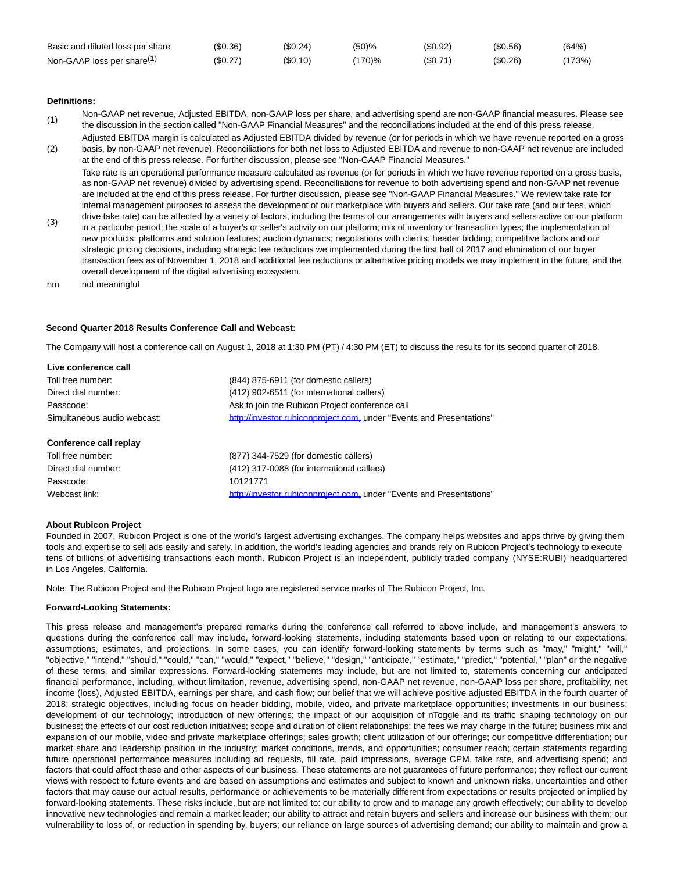| Basic and diluted loss per share       | (\$0.36) | (\$0.24) | (50)% | $(\$0.92)$ | (\$0.56) | (64%) |
|----------------------------------------|----------|----------|-------|------------|----------|-------|
| Non-GAAP loss per share <sup>(1)</sup> | (S0.27)  | (\$0.10) | 170)% | (\$0.71)   | (S0.26)  | 173%) |

## **Definitions:**

- (1) Non-GAAP net revenue, Adjusted EBITDA, non-GAAP loss per share, and advertising spend are non-GAAP financial measures. Please see<br>
(1) the discussion is the particular library CAAP Financial Measures" and the presentia the discussion in the section called "Non-GAAP Financial Measures" and the reconciliations included at the end of this press release.
- (2) Adjusted EBITDA margin is calculated as Adjusted EBITDA divided by revenue (or for periods in which we have revenue reported on a gross basis, by non-GAAP net revenue). Reconciliations for both net loss to Adjusted EBITDA and revenue to non-GAAP net revenue are included at the end of this press release. For further discussion, please see "Non-GAAP Financial Measures."

Take rate is an operational performance measure calculated as revenue (or for periods in which we have revenue reported on a gross basis, as non-GAAP net revenue) divided by advertising spend. Reconciliations for revenue to both advertising spend and non-GAAP net revenue are included at the end of this press release. For further discussion, please see "Non-GAAP Financial Measures." We review take rate for internal management purposes to assess the development of our marketplace with buyers and sellers. Our take rate (and our fees, which drive take rate) can be affected by a variety of factors, including the terms of our arrangements with buyers and sellers active on our platform

- (3) in a particular period; the scale of a buyer's or seller's activity on our platform; mix of inventory or transaction types; the implementation of new products; platforms and solution features; auction dynamics; negotiations with clients; header bidding; competitive factors and our strategic pricing decisions, including strategic fee reductions we implemented during the first half of 2017 and elimination of our buyer transaction fees as of November 1, 2018 and additional fee reductions or alternative pricing models we may implement in the future; and the overall development of the digital advertising ecosystem.
- nm not meaningful

#### **Second Quarter 2018 Results Conference Call and Webcast:**

The Company will host a conference call on August 1, 2018 at 1:30 PM (PT) / 4:30 PM (ET) to discuss the results for its second quarter of 2018.

| Live conference call                                                                                |                                                                      |  |  |  |  |  |  |
|-----------------------------------------------------------------------------------------------------|----------------------------------------------------------------------|--|--|--|--|--|--|
| Toll free number:                                                                                   | (844) 875-6911 (for domestic callers)                                |  |  |  |  |  |  |
| Direct dial number:                                                                                 | (412) 902-6511 (for international callers)                           |  |  |  |  |  |  |
| Passcode:                                                                                           | Ask to join the Rubicon Project conference call                      |  |  |  |  |  |  |
| http://investor.rubiconproject.com. under "Events and Presentations"<br>Simultaneous audio webcast: |                                                                      |  |  |  |  |  |  |
| Conference call replay                                                                              |                                                                      |  |  |  |  |  |  |
| Toll free number:                                                                                   | (877) 344-7529 (for domestic callers)                                |  |  |  |  |  |  |
| Direct dial number:                                                                                 | (412) 317-0088 (for international callers)                           |  |  |  |  |  |  |
| Passcode:                                                                                           | 10121771                                                             |  |  |  |  |  |  |
| Webcast link:                                                                                       | http://investor.rubiconproject.com. under "Events and Presentations" |  |  |  |  |  |  |

#### **About Rubicon Project**

Founded in 2007, Rubicon Project is one of the world's largest advertising exchanges. The company helps websites and apps thrive by giving them tools and expertise to sell ads easily and safely. In addition, the world's leading agencies and brands rely on Rubicon Project's technology to execute tens of billions of advertising transactions each month. Rubicon Project is an independent, publicly traded company (NYSE:RUBI) headquartered in Los Angeles, California.

Note: The Rubicon Project and the Rubicon Project logo are registered service marks of The Rubicon Project, Inc.

#### **Forward-Looking Statements:**

This press release and management's prepared remarks during the conference call referred to above include, and management's answers to questions during the conference call may include, forward-looking statements, including statements based upon or relating to our expectations, assumptions, estimates, and projections. In some cases, you can identify forward-looking statements by terms such as "may," "might," "will," "objective," "intend," "should," "could," "can," "would," "expect," "believe," "design," "anticipate," "estimate," "predict," "potential," "plan" or the negative of these terms, and similar expressions. Forward-looking statements may include, but are not limited to, statements concerning our anticipated financial performance, including, without limitation, revenue, advertising spend, non-GAAP net revenue, non-GAAP loss per share, profitability, net income (loss), Adjusted EBITDA, earnings per share, and cash flow; our belief that we will achieve positive adjusted EBITDA in the fourth quarter of 2018; strategic objectives, including focus on header bidding, mobile, video, and private marketplace opportunities; investments in our business; development of our technology; introduction of new offerings; the impact of our acquisition of nToggle and its traffic shaping technology on our business; the effects of our cost reduction initiatives; scope and duration of client relationships; the fees we may charge in the future; business mix and expansion of our mobile, video and private marketplace offerings; sales growth; client utilization of our offerings; our competitive differentiation; our market share and leadership position in the industry; market conditions, trends, and opportunities; consumer reach; certain statements regarding future operational performance measures including ad requests, fill rate, paid impressions, average CPM, take rate, and advertising spend; and factors that could affect these and other aspects of our business. These statements are not guarantees of future performance; they reflect our current views with respect to future events and are based on assumptions and estimates and subject to known and unknown risks, uncertainties and other factors that may cause our actual results, performance or achievements to be materially different from expectations or results projected or implied by forward-looking statements. These risks include, but are not limited to: our ability to grow and to manage any growth effectively; our ability to develop innovative new technologies and remain a market leader; our ability to attract and retain buyers and sellers and increase our business with them; our vulnerability to loss of, or reduction in spending by, buyers; our reliance on large sources of advertising demand; our ability to maintain and grow a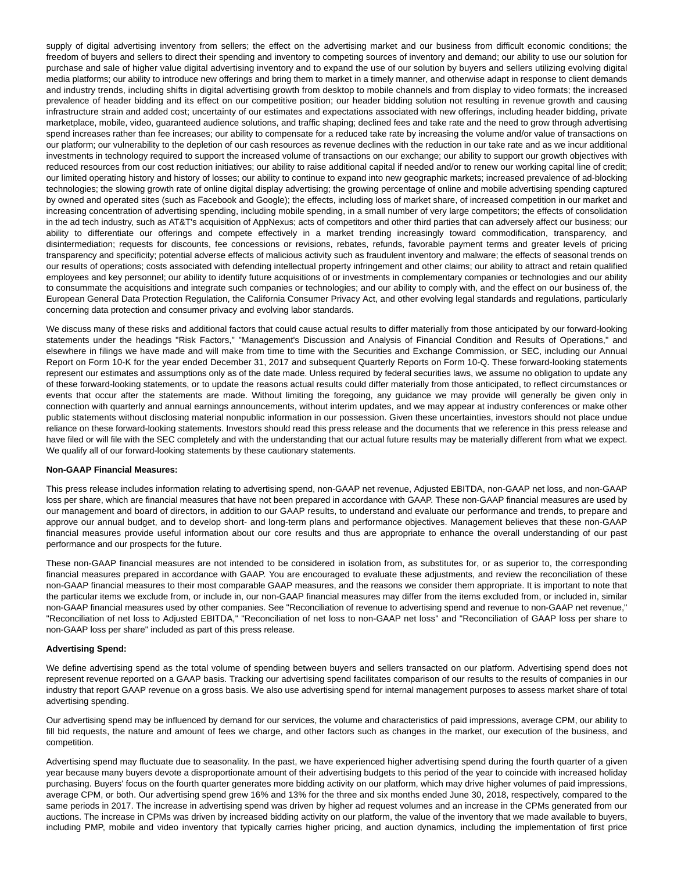supply of digital advertising inventory from sellers; the effect on the advertising market and our business from difficult economic conditions; the freedom of buyers and sellers to direct their spending and inventory to competing sources of inventory and demand; our ability to use our solution for purchase and sale of higher value digital advertising inventory and to expand the use of our solution by buyers and sellers utilizing evolving digital media platforms; our ability to introduce new offerings and bring them to market in a timely manner, and otherwise adapt in response to client demands and industry trends, including shifts in digital advertising growth from desktop to mobile channels and from display to video formats; the increased prevalence of header bidding and its effect on our competitive position; our header bidding solution not resulting in revenue growth and causing infrastructure strain and added cost; uncertainty of our estimates and expectations associated with new offerings, including header bidding, private marketplace, mobile, video, guaranteed audience solutions, and traffic shaping; declined fees and take rate and the need to grow through advertising spend increases rather than fee increases; our ability to compensate for a reduced take rate by increasing the volume and/or value of transactions on our platform; our vulnerability to the depletion of our cash resources as revenue declines with the reduction in our take rate and as we incur additional investments in technology required to support the increased volume of transactions on our exchange; our ability to support our growth objectives with reduced resources from our cost reduction initiatives; our ability to raise additional capital if needed and/or to renew our working capital line of credit; our limited operating history and history of losses; our ability to continue to expand into new geographic markets; increased prevalence of ad-blocking technologies; the slowing growth rate of online digital display advertising; the growing percentage of online and mobile advertising spending captured by owned and operated sites (such as Facebook and Google); the effects, including loss of market share, of increased competition in our market and increasing concentration of advertising spending, including mobile spending, in a small number of very large competitors; the effects of consolidation in the ad tech industry, such as AT&T's acquisition of AppNexus; acts of competitors and other third parties that can adversely affect our business; our ability to differentiate our offerings and compete effectively in a market trending increasingly toward commodification, transparency, and disintermediation; requests for discounts, fee concessions or revisions, rebates, refunds, favorable payment terms and greater levels of pricing transparency and specificity; potential adverse effects of malicious activity such as fraudulent inventory and malware; the effects of seasonal trends on our results of operations; costs associated with defending intellectual property infringement and other claims; our ability to attract and retain qualified employees and key personnel; our ability to identify future acquisitions of or investments in complementary companies or technologies and our ability to consummate the acquisitions and integrate such companies or technologies; and our ability to comply with, and the effect on our business of, the European General Data Protection Regulation, the California Consumer Privacy Act, and other evolving legal standards and regulations, particularly concerning data protection and consumer privacy and evolving labor standards.

We discuss many of these risks and additional factors that could cause actual results to differ materially from those anticipated by our forward-looking statements under the headings "Risk Factors," "Management's Discussion and Analysis of Financial Condition and Results of Operations," and elsewhere in filings we have made and will make from time to time with the Securities and Exchange Commission, or SEC, including our Annual Report on Form 10-K for the year ended December 31, 2017 and subsequent Quarterly Reports on Form 10-Q. These forward-looking statements represent our estimates and assumptions only as of the date made. Unless required by federal securities laws, we assume no obligation to update any of these forward-looking statements, or to update the reasons actual results could differ materially from those anticipated, to reflect circumstances or events that occur after the statements are made. Without limiting the foregoing, any guidance we may provide will generally be given only in connection with quarterly and annual earnings announcements, without interim updates, and we may appear at industry conferences or make other public statements without disclosing material nonpublic information in our possession. Given these uncertainties, investors should not place undue reliance on these forward-looking statements. Investors should read this press release and the documents that we reference in this press release and have filed or will file with the SEC completely and with the understanding that our actual future results may be materially different from what we expect. We qualify all of our forward-looking statements by these cautionary statements.

#### **Non-GAAP Financial Measures:**

This press release includes information relating to advertising spend, non-GAAP net revenue, Adjusted EBITDA, non-GAAP net loss, and non-GAAP loss per share, which are financial measures that have not been prepared in accordance with GAAP. These non-GAAP financial measures are used by our management and board of directors, in addition to our GAAP results, to understand and evaluate our performance and trends, to prepare and approve our annual budget, and to develop short- and long-term plans and performance objectives. Management believes that these non-GAAP financial measures provide useful information about our core results and thus are appropriate to enhance the overall understanding of our past performance and our prospects for the future.

These non-GAAP financial measures are not intended to be considered in isolation from, as substitutes for, or as superior to, the corresponding financial measures prepared in accordance with GAAP. You are encouraged to evaluate these adjustments, and review the reconciliation of these non-GAAP financial measures to their most comparable GAAP measures, and the reasons we consider them appropriate. It is important to note that the particular items we exclude from, or include in, our non-GAAP financial measures may differ from the items excluded from, or included in, similar non-GAAP financial measures used by other companies. See "Reconciliation of revenue to advertising spend and revenue to non-GAAP net revenue," "Reconciliation of net loss to Adjusted EBITDA," "Reconciliation of net loss to non-GAAP net loss" and "Reconciliation of GAAP loss per share to non-GAAP loss per share" included as part of this press release.

#### **Advertising Spend:**

We define advertising spend as the total volume of spending between buyers and sellers transacted on our platform. Advertising spend does not represent revenue reported on a GAAP basis. Tracking our advertising spend facilitates comparison of our results to the results of companies in our industry that report GAAP revenue on a gross basis. We also use advertising spend for internal management purposes to assess market share of total advertising spending.

Our advertising spend may be influenced by demand for our services, the volume and characteristics of paid impressions, average CPM, our ability to fill bid requests, the nature and amount of fees we charge, and other factors such as changes in the market, our execution of the business, and competition.

Advertising spend may fluctuate due to seasonality. In the past, we have experienced higher advertising spend during the fourth quarter of a given year because many buyers devote a disproportionate amount of their advertising budgets to this period of the year to coincide with increased holiday purchasing. Buyers' focus on the fourth quarter generates more bidding activity on our platform, which may drive higher volumes of paid impressions, average CPM, or both. Our advertising spend grew 16% and 13% for the three and six months ended June 30, 2018, respectively, compared to the same periods in 2017. The increase in advertising spend was driven by higher ad request volumes and an increase in the CPMs generated from our auctions. The increase in CPMs was driven by increased bidding activity on our platform, the value of the inventory that we made available to buyers, including PMP, mobile and video inventory that typically carries higher pricing, and auction dynamics, including the implementation of first price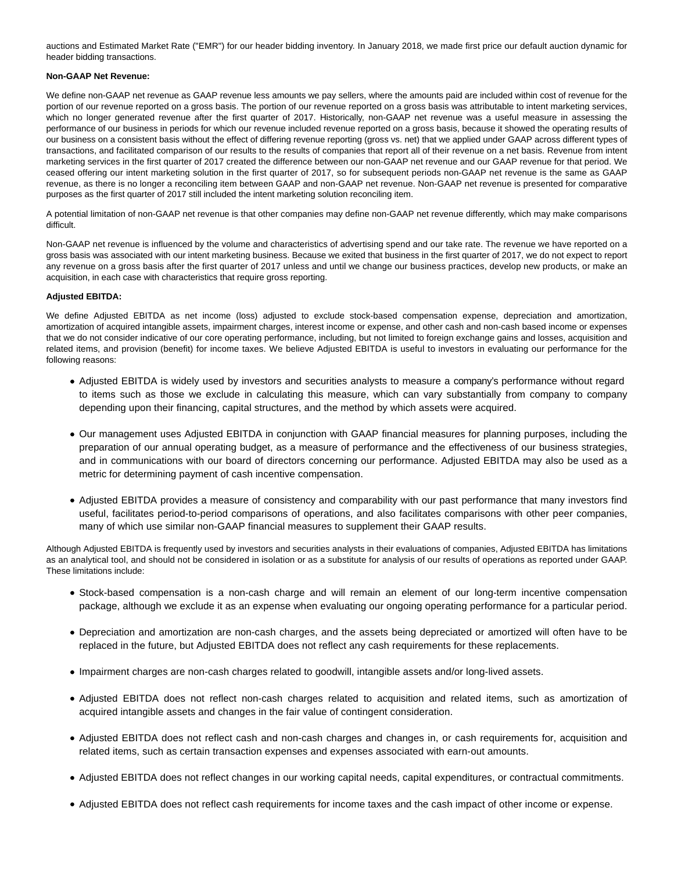auctions and Estimated Market Rate ("EMR") for our header bidding inventory. In January 2018, we made first price our default auction dynamic for header bidding transactions.

#### **Non-GAAP Net Revenue:**

We define non-GAAP net revenue as GAAP revenue less amounts we pay sellers, where the amounts paid are included within cost of revenue for the portion of our revenue reported on a gross basis. The portion of our revenue reported on a gross basis was attributable to intent marketing services, which no longer generated revenue after the first quarter of 2017. Historically, non-GAAP net revenue was a useful measure in assessing the performance of our business in periods for which our revenue included revenue reported on a gross basis, because it showed the operating results of our business on a consistent basis without the effect of differing revenue reporting (gross vs. net) that we applied under GAAP across different types of transactions, and facilitated comparison of our results to the results of companies that report all of their revenue on a net basis. Revenue from intent marketing services in the first quarter of 2017 created the difference between our non-GAAP net revenue and our GAAP revenue for that period. We ceased offering our intent marketing solution in the first quarter of 2017, so for subsequent periods non-GAAP net revenue is the same as GAAP revenue, as there is no longer a reconciling item between GAAP and non-GAAP net revenue. Non-GAAP net revenue is presented for comparative purposes as the first quarter of 2017 still included the intent marketing solution reconciling item.

A potential limitation of non-GAAP net revenue is that other companies may define non-GAAP net revenue differently, which may make comparisons difficult.

Non-GAAP net revenue is influenced by the volume and characteristics of advertising spend and our take rate. The revenue we have reported on a gross basis was associated with our intent marketing business. Because we exited that business in the first quarter of 2017, we do not expect to report any revenue on a gross basis after the first quarter of 2017 unless and until we change our business practices, develop new products, or make an acquisition, in each case with characteristics that require gross reporting.

#### **Adjusted EBITDA:**

We define Adjusted EBITDA as net income (loss) adjusted to exclude stock-based compensation expense, depreciation and amortization, amortization of acquired intangible assets, impairment charges, interest income or expense, and other cash and non-cash based income or expenses that we do not consider indicative of our core operating performance, including, but not limited to foreign exchange gains and losses, acquisition and related items, and provision (benefit) for income taxes. We believe Adjusted EBITDA is useful to investors in evaluating our performance for the following reasons:

- Adjusted EBITDA is widely used by investors and securities analysts to measure a company's performance without regard to items such as those we exclude in calculating this measure, which can vary substantially from company to company depending upon their financing, capital structures, and the method by which assets were acquired.
- Our management uses Adjusted EBITDA in conjunction with GAAP financial measures for planning purposes, including the preparation of our annual operating budget, as a measure of performance and the effectiveness of our business strategies, and in communications with our board of directors concerning our performance. Adjusted EBITDA may also be used as a metric for determining payment of cash incentive compensation.
- Adjusted EBITDA provides a measure of consistency and comparability with our past performance that many investors find useful, facilitates period-to-period comparisons of operations, and also facilitates comparisons with other peer companies, many of which use similar non-GAAP financial measures to supplement their GAAP results.

Although Adjusted EBITDA is frequently used by investors and securities analysts in their evaluations of companies, Adjusted EBITDA has limitations as an analytical tool, and should not be considered in isolation or as a substitute for analysis of our results of operations as reported under GAAP. These limitations include:

- Stock-based compensation is a non-cash charge and will remain an element of our long-term incentive compensation package, although we exclude it as an expense when evaluating our ongoing operating performance for a particular period.
- Depreciation and amortization are non-cash charges, and the assets being depreciated or amortized will often have to be replaced in the future, but Adjusted EBITDA does not reflect any cash requirements for these replacements.
- Impairment charges are non-cash charges related to goodwill, intangible assets and/or long-lived assets.
- Adjusted EBITDA does not reflect non-cash charges related to acquisition and related items, such as amortization of acquired intangible assets and changes in the fair value of contingent consideration.
- Adjusted EBITDA does not reflect cash and non-cash charges and changes in, or cash requirements for, acquisition and related items, such as certain transaction expenses and expenses associated with earn-out amounts.
- Adjusted EBITDA does not reflect changes in our working capital needs, capital expenditures, or contractual commitments.
- Adjusted EBITDA does not reflect cash requirements for income taxes and the cash impact of other income or expense.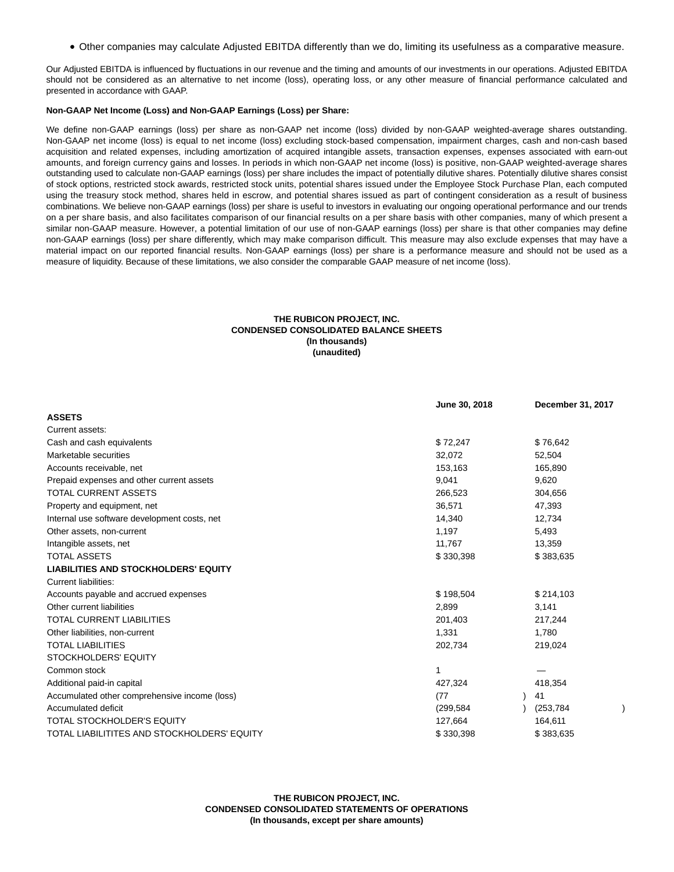Other companies may calculate Adjusted EBITDA differently than we do, limiting its usefulness as a comparative measure.

Our Adjusted EBITDA is influenced by fluctuations in our revenue and the timing and amounts of our investments in our operations. Adjusted EBITDA should not be considered as an alternative to net income (loss), operating loss, or any other measure of financial performance calculated and presented in accordance with GAAP.

#### **Non-GAAP Net Income (Loss) and Non-GAAP Earnings (Loss) per Share:**

We define non-GAAP earnings (loss) per share as non-GAAP net income (loss) divided by non-GAAP weighted-average shares outstanding. Non-GAAP net income (loss) is equal to net income (loss) excluding stock-based compensation, impairment charges, cash and non-cash based acquisition and related expenses, including amortization of acquired intangible assets, transaction expenses, expenses associated with earn-out amounts, and foreign currency gains and losses. In periods in which non-GAAP net income (loss) is positive, non-GAAP weighted-average shares outstanding used to calculate non-GAAP earnings (loss) per share includes the impact of potentially dilutive shares. Potentially dilutive shares consist of stock options, restricted stock awards, restricted stock units, potential shares issued under the Employee Stock Purchase Plan, each computed using the treasury stock method, shares held in escrow, and potential shares issued as part of contingent consideration as a result of business combinations. We believe non-GAAP earnings (loss) per share is useful to investors in evaluating our ongoing operational performance and our trends on a per share basis, and also facilitates comparison of our financial results on a per share basis with other companies, many of which present a similar non-GAAP measure. However, a potential limitation of our use of non-GAAP earnings (loss) per share is that other companies may define non-GAAP earnings (loss) per share differently, which may make comparison difficult. This measure may also exclude expenses that may have a material impact on our reported financial results. Non-GAAP earnings (loss) per share is a performance measure and should not be used as a measure of liquidity. Because of these limitations, we also consider the comparable GAAP measure of net income (loss).

#### **THE RUBICON PROJECT, INC. CONDENSED CONSOLIDATED BALANCE SHEETS (In thousands) (unaudited)**

|                                               | June 30, 2018 | December 31, 2017 |  |
|-----------------------------------------------|---------------|-------------------|--|
| <b>ASSETS</b>                                 |               |                   |  |
| Current assets:                               |               |                   |  |
| Cash and cash equivalents                     | \$72,247      | \$76,642          |  |
| Marketable securities                         | 32,072        | 52,504            |  |
| Accounts receivable, net                      | 153,163       | 165,890           |  |
| Prepaid expenses and other current assets     | 9,041         | 9,620             |  |
| <b>TOTAL CURRENT ASSETS</b>                   | 266,523       | 304,656           |  |
| Property and equipment, net                   | 36,571        | 47,393            |  |
| Internal use software development costs, net  | 14,340        | 12,734            |  |
| Other assets, non-current                     | 1,197         | 5,493             |  |
| Intangible assets, net                        | 11,767        | 13,359            |  |
| <b>TOTAL ASSETS</b>                           | \$330,398     | \$383,635         |  |
| <b>LIABILITIES AND STOCKHOLDERS' EQUITY</b>   |               |                   |  |
| <b>Current liabilities:</b>                   |               |                   |  |
| Accounts payable and accrued expenses         | \$198,504     | \$214,103         |  |
| Other current liabilities                     | 2,899         | 3,141             |  |
| <b>TOTAL CURRENT LIABILITIES</b>              | 201,403       | 217,244           |  |
| Other liabilities, non-current                | 1,331         | 1,780             |  |
| <b>TOTAL LIABILITIES</b>                      | 202,734       | 219,024           |  |
| STOCKHOLDERS' EQUITY                          |               |                   |  |
| Common stock                                  | 1             |                   |  |
| Additional paid-in capital                    | 427,324       | 418,354           |  |
| Accumulated other comprehensive income (loss) | (77)          | 41                |  |
| <b>Accumulated deficit</b>                    | (299, 584)    | (253, 784)        |  |
| TOTAL STOCKHOLDER'S EQUITY                    | 127,664       | 164,611           |  |
| TOTAL LIABILITITES AND STOCKHOLDERS' EQUITY   | \$330,398     | \$383,635         |  |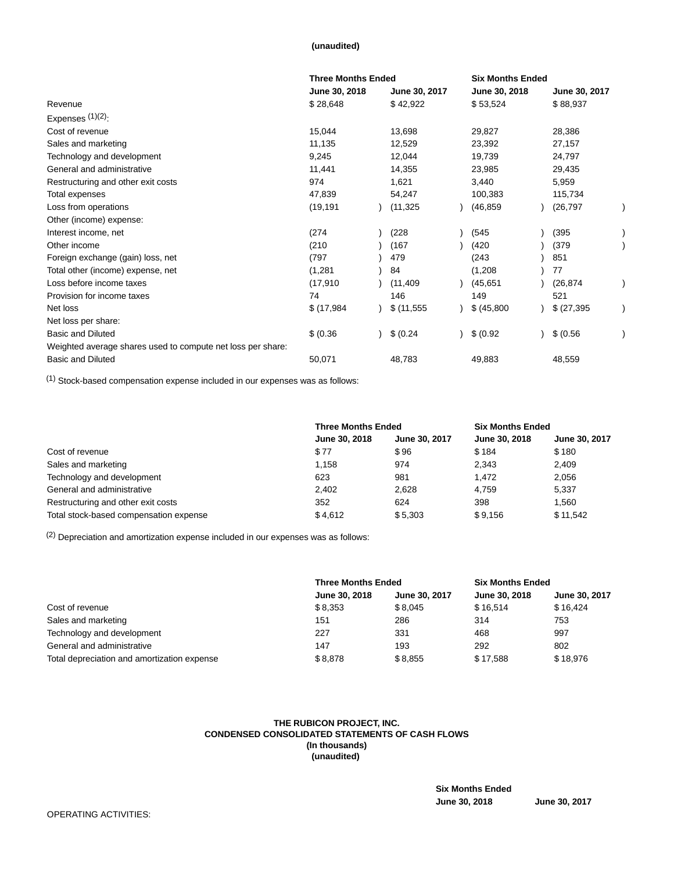# **(unaudited)**

|                                                             | <b>Three Months Ended</b> |  |               | <b>Six Months Ended</b> |  |               |  |
|-------------------------------------------------------------|---------------------------|--|---------------|-------------------------|--|---------------|--|
|                                                             | June 30, 2018             |  | June 30, 2017 | June 30, 2018           |  | June 30, 2017 |  |
| Revenue                                                     | \$28,648                  |  | \$42,922      | \$53,524                |  | \$88,937      |  |
| Expenses $(1)(2)$ :                                         |                           |  |               |                         |  |               |  |
| Cost of revenue                                             | 15,044                    |  | 13,698        | 29,827                  |  | 28,386        |  |
| Sales and marketing                                         | 11,135                    |  | 12,529        | 23,392                  |  | 27,157        |  |
| Technology and development                                  | 9,245                     |  | 12,044        | 19,739                  |  | 24,797        |  |
| General and administrative                                  | 11,441                    |  | 14,355        | 23,985                  |  | 29,435        |  |
| Restructuring and other exit costs                          | 974                       |  | 1,621         | 3,440                   |  | 5,959         |  |
| Total expenses                                              | 47,839                    |  | 54,247        | 100,383                 |  | 115,734       |  |
| Loss from operations                                        | (19, 191)                 |  | (11, 325)     | (46, 859)               |  | (26, 797)     |  |
| Other (income) expense:                                     |                           |  |               |                         |  |               |  |
| Interest income, net                                        | (274)                     |  | (228)         | (545)                   |  | (395)         |  |
| Other income                                                | (210)                     |  | (167          | (420)                   |  | (379)         |  |
| Foreign exchange (gain) loss, net                           | (797)                     |  | 479           | (243)                   |  | 851           |  |
| Total other (income) expense, net                           | (1,281)                   |  | 84            | (1,208)                 |  | 77            |  |
| Loss before income taxes                                    | (17, 910)                 |  | (11, 409)     | (45, 651)               |  | (26, 874)     |  |
| Provision for income taxes                                  | 74                        |  | 146           | 149                     |  | 521           |  |
| Net loss                                                    | \$(17,984)                |  | \$(11, 555)   | \$ (45,800)             |  | \$ (27, 395)  |  |
| Net loss per share:                                         |                           |  |               |                         |  |               |  |
| <b>Basic and Diluted</b>                                    | \$ (0.36)                 |  | \$ (0.24)     | \$ (0.92)               |  | \$ (0.56)     |  |
| Weighted average shares used to compute net loss per share: |                           |  |               |                         |  |               |  |
| <b>Basic and Diluted</b>                                    | 50,071                    |  | 48,783        | 49,883                  |  | 48,559        |  |

(1) Stock-based compensation expense included in our expenses was as follows:

|                                        | <b>Three Months Ended</b> | <b>Six Months Ended</b> |               |               |
|----------------------------------------|---------------------------|-------------------------|---------------|---------------|
|                                        | June 30, 2018             | June 30, 2017           | June 30, 2018 | June 30, 2017 |
| Cost of revenue                        | \$77                      | \$96                    | \$184         | \$180         |
| Sales and marketing                    | 1.158                     | 974                     | 2.343         | 2.409         |
| Technology and development             | 623                       | 981                     | 1.472         | 2.056         |
| General and administrative             | 2.402                     | 2.628                   | 4.759         | 5.337         |
| Restructuring and other exit costs     | 352                       | 624                     | 398           | 1.560         |
| Total stock-based compensation expense | \$4.612                   | \$5,303                 | \$9.156       | \$11.542      |

(2) Depreciation and amortization expense included in our expenses was as follows:

|                                             | <b>Three Months Ended</b> |               | <b>Six Months Ended</b> |               |  |
|---------------------------------------------|---------------------------|---------------|-------------------------|---------------|--|
|                                             | June 30, 2018             | June 30, 2017 | June 30, 2018           | June 30, 2017 |  |
| Cost of revenue                             | \$8.353                   | \$8.045       | \$16.514                | \$16.424      |  |
| Sales and marketing                         | 151                       | 286           | 314                     | 753           |  |
| Technology and development                  | 227                       | 331           | 468                     | 997           |  |
| General and administrative                  | 147                       | 193           | 292                     | 802           |  |
| Total depreciation and amortization expense | \$8.878                   | \$8,855       | \$17.588                | \$18,976      |  |

# **THE RUBICON PROJECT, INC. CONDENSED CONSOLIDATED STATEMENTS OF CASH FLOWS (In thousands) (unaudited)**

**Six Months Ended June 30, 2018 June 30, 2017**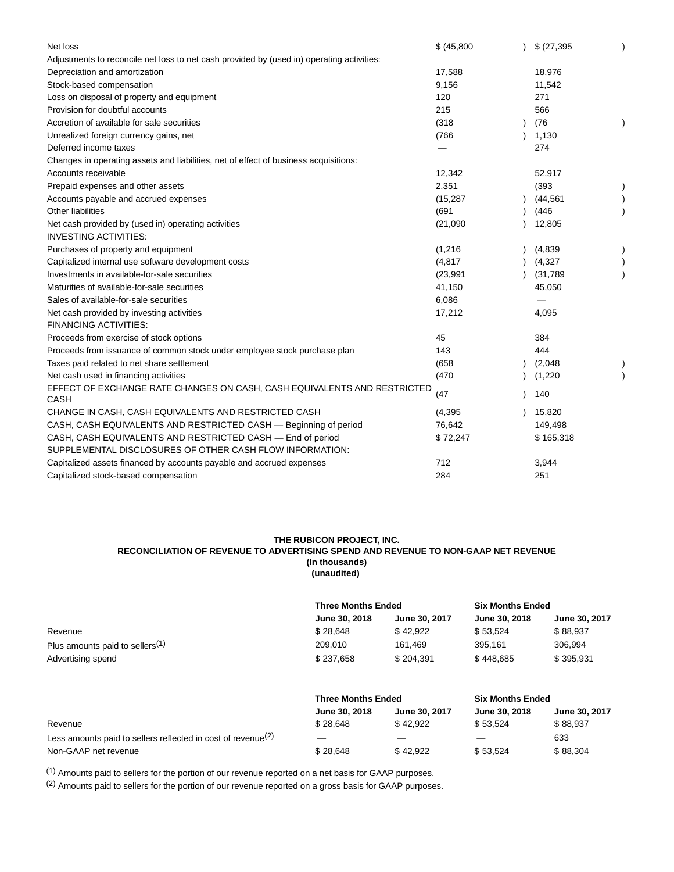| Net loss                                                                                  | \$ (45,800) | \$ (27, 395) |  |
|-------------------------------------------------------------------------------------------|-------------|--------------|--|
| Adjustments to reconcile net loss to net cash provided by (used in) operating activities: |             |              |  |
| Depreciation and amortization                                                             | 17,588      | 18,976       |  |
| Stock-based compensation                                                                  | 9,156       | 11,542       |  |
|                                                                                           | 120         | 271          |  |
| Loss on disposal of property and equipment<br>Provision for doubtful accounts             | 215         | 566          |  |
|                                                                                           |             |              |  |
| Accretion of available for sale securities                                                | (318)       | (76)         |  |
| Unrealized foreign currency gains, net                                                    | (766)       | 1,130        |  |
| Deferred income taxes                                                                     |             | 274          |  |
| Changes in operating assets and liabilities, net of effect of business acquisitions:      |             |              |  |
| Accounts receivable                                                                       | 12,342      | 52,917       |  |
| Prepaid expenses and other assets                                                         | 2,351       | (393)        |  |
| Accounts payable and accrued expenses                                                     | (15, 287)   | (44, 561)    |  |
| <b>Other liabilities</b>                                                                  | (691)       | (446)        |  |
| Net cash provided by (used in) operating activities                                       | (21,090)    | 12,805       |  |
| <b>INVESTING ACTIVITIES:</b>                                                              |             |              |  |
| Purchases of property and equipment                                                       | (1, 216)    | (4,839)      |  |
| Capitalized internal use software development costs                                       | (4, 817)    | (4, 327)     |  |
| Investments in available-for-sale securities                                              | (23, 991)   | (31,789)     |  |
| Maturities of available-for-sale securities                                               | 41,150      | 45,050       |  |
| Sales of available-for-sale securities                                                    | 6,086       |              |  |
| Net cash provided by investing activities                                                 | 17,212      | 4,095        |  |
| <b>FINANCING ACTIVITIES:</b>                                                              |             |              |  |
| Proceeds from exercise of stock options                                                   | 45          | 384          |  |
| Proceeds from issuance of common stock under employee stock purchase plan                 | 143         | 444          |  |
| Taxes paid related to net share settlement                                                | (658)       | (2,048)      |  |
| Net cash used in financing activities                                                     | (470)       | (1,220)      |  |
| EFFECT OF EXCHANGE RATE CHANGES ON CASH, CASH EQUIVALENTS AND RESTRICTED<br><b>CASH</b>   | (47)        | 140          |  |
| CHANGE IN CASH, CASH EQUIVALENTS AND RESTRICTED CASH                                      | (4, 395)    | 15,820       |  |
| CASH, CASH EQUIVALENTS AND RESTRICTED CASH — Beginning of period                          | 76,642      | 149,498      |  |
| CASH, CASH EQUIVALENTS AND RESTRICTED CASH - End of period                                | \$72,247    | \$165,318    |  |
| SUPPLEMENTAL DISCLOSURES OF OTHER CASH FLOW INFORMATION:                                  |             |              |  |
| Capitalized assets financed by accounts payable and accrued expenses                      | 712         | 3,944        |  |
| Capitalized stock-based compensation                                                      | 284         | 251          |  |

# **THE RUBICON PROJECT, INC. RECONCILIATION OF REVENUE TO ADVERTISING SPEND AND REVENUE TO NON-GAAP NET REVENUE (In thousands) (unaudited)**

|                                             | <b>Three Months Ended</b> | <b>Six Months Ended</b> |               |               |
|---------------------------------------------|---------------------------|-------------------------|---------------|---------------|
|                                             | June 30, 2018             | June 30, 2017           | June 30, 2018 | June 30, 2017 |
| Revenue                                     | \$28.648                  | \$42,922                | \$53.524      | \$88,937      |
| Plus amounts paid to sellers <sup>(1)</sup> | 209,010                   | 161.469                 | 395,161       | 306,994       |
| Advertising spend                           | \$237.658                 | \$204.391               | \$448.685     | \$395,931     |
|                                             |                           |                         |               |               |

|                                                                 | <b>Three Months Ended</b> |               | <b>Six Months Ended</b> |               |
|-----------------------------------------------------------------|---------------------------|---------------|-------------------------|---------------|
|                                                                 | June 30, 2018             | June 30, 2017 | June 30, 2018           | June 30, 2017 |
| Revenue                                                         | \$28.648                  | \$42.922      | \$53.524                | \$88.937      |
| Less amounts paid to sellers reflected in cost of revenue $(2)$ |                           |               |                         | 633           |
| Non-GAAP net revenue                                            | \$28.648                  | \$42.922      | \$53.524                | \$88.304      |

(1) Amounts paid to sellers for the portion of our revenue reported on a net basis for GAAP purposes.

(2) Amounts paid to sellers for the portion of our revenue reported on a gross basis for GAAP purposes.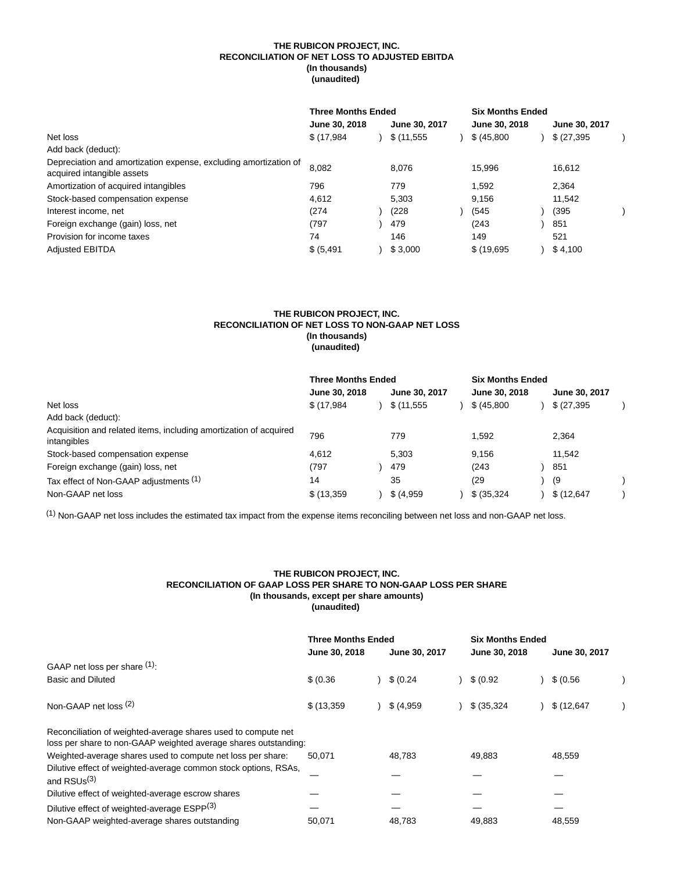## **THE RUBICON PROJECT, INC. RECONCILIATION OF NET LOSS TO ADJUSTED EBITDA (In thousands) (unaudited)**

|                                                                                                | <b>Three Months Ended</b> |  |               | <b>Six Months Ended</b> |               |  |               |  |
|------------------------------------------------------------------------------------------------|---------------------------|--|---------------|-------------------------|---------------|--|---------------|--|
|                                                                                                | June 30, 2018             |  | June 30, 2017 |                         | June 30, 2018 |  | June 30, 2017 |  |
| Net loss                                                                                       | \$(17,984)                |  | \$(11, 555)   |                         | \$ (45,800)   |  | \$ (27, 395)  |  |
| Add back (deduct):                                                                             |                           |  |               |                         |               |  |               |  |
| Depreciation and amortization expense, excluding amortization of<br>acquired intangible assets | 8,082                     |  | 8.076         |                         | 15.996        |  | 16,612        |  |
| Amortization of acquired intangibles                                                           | 796                       |  | 779           |                         | 1.592         |  | 2.364         |  |
| Stock-based compensation expense                                                               | 4.612                     |  | 5.303         |                         | 9.156         |  | 11.542        |  |
| Interest income, net                                                                           | (274)                     |  | (228          |                         | (545          |  | (395)         |  |
| Foreign exchange (gain) loss, net                                                              | (797                      |  | 479           |                         | (243)         |  | 851           |  |
| Provision for income taxes                                                                     | 74                        |  | 146           |                         | 149           |  | 521           |  |
| <b>Adiusted EBITDA</b>                                                                         | \$ (5,491)                |  | \$3.000       |                         | \$(19,695)    |  | \$4,100       |  |

#### **THE RUBICON PROJECT, INC. RECONCILIATION OF NET LOSS TO NON-GAAP NET LOSS (In thousands) (unaudited)**

|                                                                                  | <b>Three Months Ended</b> |  |               | <b>Six Months Ended</b> |               |  |               |  |
|----------------------------------------------------------------------------------|---------------------------|--|---------------|-------------------------|---------------|--|---------------|--|
|                                                                                  | June 30, 2018             |  | June 30, 2017 |                         | June 30, 2018 |  | June 30, 2017 |  |
| Net loss                                                                         | \$(17,984)                |  | \$(11, 555)   |                         | \$ (45,800)   |  | \$ (27, 395)  |  |
| Add back (deduct):                                                               |                           |  |               |                         |               |  |               |  |
| Acquisition and related items, including amortization of acquired<br>intangibles | 796                       |  | 779           |                         | 1.592         |  | 2.364         |  |
| Stock-based compensation expense                                                 | 4.612                     |  | 5.303         |                         | 9.156         |  | 11.542        |  |
| Foreign exchange (gain) loss, net                                                | (797                      |  | 479           |                         | (243          |  | 851           |  |
| Tax effect of Non-GAAP adjustments (1)                                           | 14                        |  | 35            |                         | (29)          |  | (9            |  |
| Non-GAAP net loss                                                                | \$(13,359)                |  | \$ (4.959)    |                         | \$ (35, 324)  |  | \$(12, 647)   |  |

(1) Non-GAAP net loss includes the estimated tax impact from the expense items reconciling between net loss and non-GAAP net loss.

#### **THE RUBICON PROJECT, INC. RECONCILIATION OF GAAP LOSS PER SHARE TO NON-GAAP LOSS PER SHARE (In thousands, except per share amounts) (unaudited)**

|                                                                                                                                  | <b>Three Months Ended</b><br>June 30, 2018 | June 30, 2017 | <b>Six Months Ended</b><br>June 30, 2018 | June 30, 2017 |             |  |
|----------------------------------------------------------------------------------------------------------------------------------|--------------------------------------------|---------------|------------------------------------------|---------------|-------------|--|
| GAAP net loss per share (1).                                                                                                     |                                            |               |                                          |               |             |  |
| Basic and Diluted                                                                                                                | \$ (0.36)                                  | \$ (0.24)     | \$ (0.92)                                |               | \$ (0.56)   |  |
| Non-GAAP net $loss$ <sup>(2)</sup>                                                                                               | \$(13,359)                                 | \$ (4.959)    | \$ (35,324)                              |               | \$(12, 647) |  |
| Reconciliation of weighted-average shares used to compute net<br>loss per share to non-GAAP weighted average shares outstanding: |                                            |               |                                          |               |             |  |
| Weighted-average shares used to compute net loss per share:                                                                      | 50.071                                     | 48,783        | 49,883                                   |               | 48,559      |  |
| Dilutive effect of weighted-average common stock options, RSAs,<br>and RSUs <sup>(3)</sup>                                       |                                            |               |                                          |               |             |  |
| Dilutive effect of weighted-average escrow shares                                                                                |                                            |               |                                          |               |             |  |
| Dilutive effect of weighted-average ESPP(3)                                                                                      |                                            |               |                                          |               |             |  |
| Non-GAAP weighted-average shares outstanding                                                                                     | 50.071                                     | 48,783        | 49.883                                   |               | 48,559      |  |